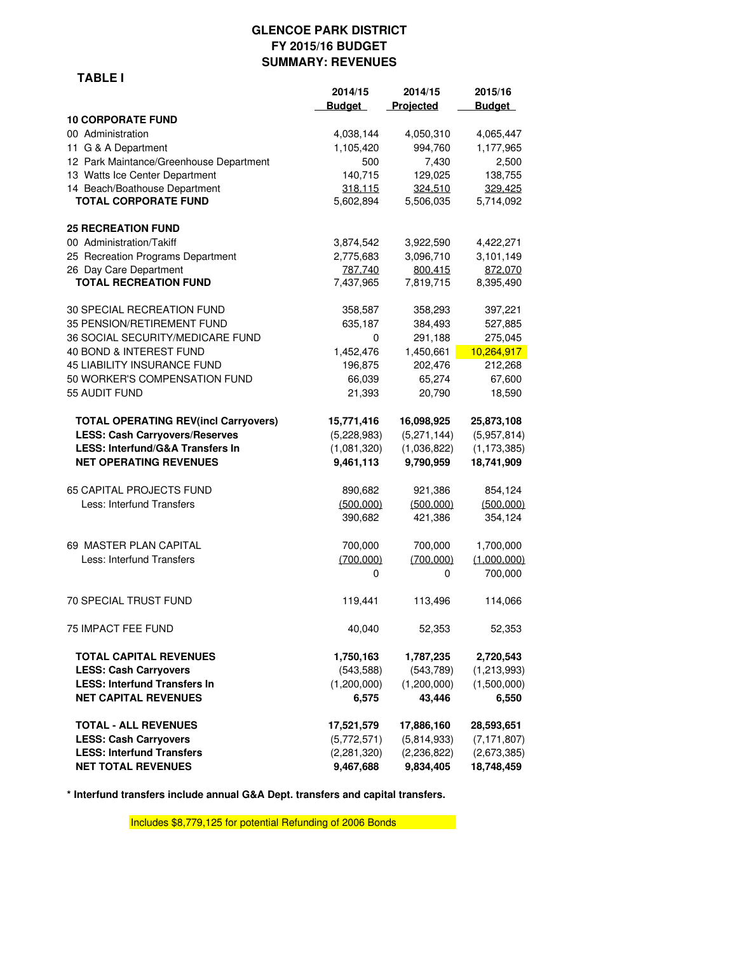## **GLENCOE PARK DISTRICT FY 2015/16 BUDGET SUMMARY: REVENUES**

|                                             | 2014/15       | 2014/15       | 2015/16       |
|---------------------------------------------|---------------|---------------|---------------|
|                                             | <b>Budget</b> | Projected     | <b>Budget</b> |
| <b>10 CORPORATE FUND</b>                    |               |               |               |
| 00 Administration                           | 4,038,144     | 4,050,310     | 4,065,447     |
| 11 G & A Department                         | 1,105,420     | 994,760       | 1,177,965     |
| 12 Park Maintance/Greenhouse Department     | 500           | 7,430         | 2,500         |
| 13 Watts Ice Center Department              | 140,715       | 129,025       | 138,755       |
| 14 Beach/Boathouse Department               | 318,115       | 324,510       | 329,425       |
| <b>TOTAL CORPORATE FUND</b>                 | 5,602,894     | 5,506,035     | 5,714,092     |
| <b>25 RECREATION FUND</b>                   |               |               |               |
| 00 Administration/Takiff                    | 3,874,542     | 3,922,590     | 4,422,271     |
| 25 Recreation Programs Department           | 2,775,683     | 3,096,710     | 3,101,149     |
| 26 Day Care Department                      | 787,740       | 800,415       | 872,070       |
| <b>TOTAL RECREATION FUND</b>                | 7,437,965     | 7,819,715     | 8,395,490     |
| 30 SPECIAL RECREATION FUND                  | 358,587       | 358,293       | 397,221       |
| 35 PENSION/RETIREMENT FUND                  | 635,187       | 384,493       | 527,885       |
| 36 SOCIAL SECURITY/MEDICARE FUND            | 0             | 291,188       | 275,045       |
| 40 BOND & INTEREST FUND                     | 1,452,476     | 1,450,661     | 10,264,917    |
| 45 LIABILITY INSURANCE FUND                 | 196,875       | 202,476       | 212,268       |
| 50 WORKER'S COMPENSATION FUND               | 66,039        | 65,274        | 67,600        |
| 55 AUDIT FUND                               | 21,393        | 20,790        | 18,590        |
| <b>TOTAL OPERATING REV(incl Carryovers)</b> | 15,771,416    | 16,098,925    | 25,873,108    |
| <b>LESS: Cash Carryovers/Reserves</b>       | (5,228,983)   | (5,271,144)   | (5,957,814)   |
| <b>LESS: Interfund/G&amp;A Transfers In</b> | (1,081,320)   | (1,036,822)   | (1, 173, 385) |
| <b>NET OPERATING REVENUES</b>               | 9,461,113     | 9,790,959     | 18,741,909    |
| <b>65 CAPITAL PROJECTS FUND</b>             | 890,682       | 921,386       | 854,124       |
| Less: Interfund Transfers                   | (500,000)     | (500,000)     | (500,000)     |
|                                             | 390,682       | 421,386       | 354,124       |
| 69 MASTER PLAN CAPITAL                      | 700,000       | 700,000       | 1,700,000     |
| Less: Interfund Transfers                   | (700,000)     | (700,000)     | (1,000,000)   |
|                                             | 0             | 0             | 700,000       |
| 70 SPECIAL TRUST FUND                       | 119,441       | 113,496       | 114,066       |
| 75 IMPACT FEE FUND                          | 40,040        | 52,353        | 52,353        |
| <b>TOTAL CAPITAL REVENUES</b>               | 1,750,163     | 1,787,235     | 2,720,543     |
| <b>LESS: Cash Carryovers</b>                | (543, 588)    | (543, 789)    | (1,213,993)   |
| <b>LESS: Interfund Transfers In</b>         | (1,200,000)   | (1,200,000)   | (1,500,000)   |
| <b>NET CAPITAL REVENUES</b>                 | 6,575         | 43,446        | 6,550         |
| <b>TOTAL - ALL REVENUES</b>                 | 17,521,579    | 17,886,160    | 28,593,651    |
| <b>LESS: Cash Carryovers</b>                | (5,772,571)   | (5,814,933)   | (7, 171, 807) |
| <b>LESS: Interfund Transfers</b>            | (2, 281, 320) | (2, 236, 822) | (2,673,385)   |
| <b>NET TOTAL REVENUES</b>                   | 9,467,688     | 9,834,405     | 18,748,459    |

**\* Interfund transfers include annual G&A Dept. transfers and capital transfers.**

Includes \$8,779,125 for potential Refunding of 2006 Bonds

#### **TABLE I**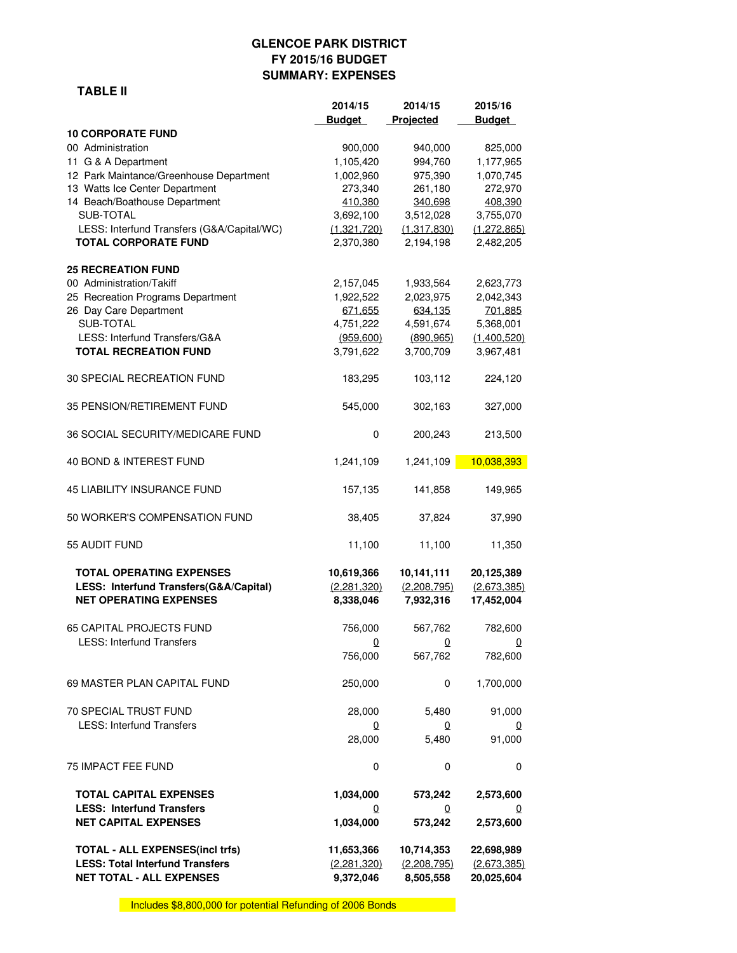# **GLENCOE PARK DISTRICT FY 2015/16 BUDGET SUMMARY: EXPENSES**

### **TABLE II**

|                                                                                                            | 2014/15                                | 2014/15                                | 2015/16                                 |
|------------------------------------------------------------------------------------------------------------|----------------------------------------|----------------------------------------|-----------------------------------------|
|                                                                                                            | <b>Budget</b>                          | Projected                              | <b>Budget</b>                           |
| <b>10 CORPORATE FUND</b>                                                                                   |                                        |                                        |                                         |
| 00 Administration                                                                                          | 900,000                                | 940,000                                | 825,000                                 |
| 11 G & A Department                                                                                        | 1,105,420                              | 994,760                                | 1,177,965                               |
| 12 Park Maintance/Greenhouse Department                                                                    | 1,002,960                              | 975,390                                | 1,070,745                               |
| 13 Watts Ice Center Department                                                                             | 273,340                                | 261,180                                | 272,970                                 |
| 14 Beach/Boathouse Department                                                                              | 410,380                                | 340,698                                | 408,390                                 |
| SUB-TOTAL                                                                                                  | 3,692,100                              | 3,512,028                              | 3,755,070                               |
| LESS: Interfund Transfers (G&A/Capital/WC)                                                                 | (1,321,720)                            | (1,317,830)                            | (1, 272, 865)                           |
| <b>TOTAL CORPORATE FUND</b>                                                                                | 2,370,380                              | 2,194,198                              | 2,482,205                               |
| <b>25 RECREATION FUND</b>                                                                                  |                                        |                                        |                                         |
| 00 Administration/Takiff                                                                                   | 2,157,045                              | 1,933,564                              | 2,623,773                               |
| 25 Recreation Programs Department                                                                          | 1,922,522                              | 2,023,975                              | 2,042,343                               |
| 26 Day Care Department                                                                                     | 671,655                                | 634,135                                | 701,885                                 |
| SUB-TOTAL                                                                                                  | 4,751,222                              | 4,591,674                              | 5,368,001                               |
| LESS: Interfund Transfers/G&A                                                                              | (959,600)                              | (890, 965)                             | (1,400,520)                             |
| <b>TOTAL RECREATION FUND</b>                                                                               | 3,791,622                              | 3,700,709                              | 3,967,481                               |
| 30 SPECIAL RECREATION FUND                                                                                 | 183,295                                | 103,112                                | 224,120                                 |
| 35 PENSION/RETIREMENT FUND                                                                                 | 545,000                                | 302,163                                | 327,000                                 |
| 36 SOCIAL SECURITY/MEDICARE FUND                                                                           | 0                                      | 200,243                                | 213,500                                 |
| 40 BOND & INTEREST FUND                                                                                    | 1,241,109                              | 1,241,109                              | 10,038,393                              |
| <b>45 LIABILITY INSURANCE FUND</b>                                                                         | 157,135                                | 141,858                                | 149,965                                 |
| 50 WORKER'S COMPENSATION FUND                                                                              | 38,405                                 | 37,824                                 | 37,990                                  |
| 55 AUDIT FUND                                                                                              | 11,100                                 | 11,100                                 | 11,350                                  |
| <b>TOTAL OPERATING EXPENSES</b><br>LESS: Interfund Transfers(G&A/Capital)<br><b>NET OPERATING EXPENSES</b> | 10,619,366<br>(2,281,320)<br>8,338,046 | 10,141,111<br>(2,208,795)<br>7,932,316 | 20,125,389<br>(2,673,385)<br>17,452,004 |
| <b>65 CAPITAL PROJECTS FUND</b>                                                                            | 756,000                                | 567,762                                | 782,600                                 |
| <b>LESS: Interfund Transfers</b>                                                                           | $\overline{0}$                         | $\overline{\mathbf{0}}$                | $\overline{\mathbf{0}}$                 |
|                                                                                                            | 756,000                                | 567,762                                | 782,600                                 |
| 69 MASTER PLAN CAPITAL FUND                                                                                | 250,000                                | 0                                      | 1,700,000                               |
| 70 SPECIAL TRUST FUND                                                                                      | 28,000                                 | 5,480                                  | 91,000                                  |
| <b>LESS: Interfund Transfers</b>                                                                           | $\Omega$                               | $\Omega$                               | $\Omega$                                |
|                                                                                                            | 28,000                                 | 5,480                                  | 91,000                                  |
| 75 IMPACT FEE FUND                                                                                         | 0                                      | 0                                      | 0                                       |
| <b>TOTAL CAPITAL EXPENSES</b>                                                                              | 1,034,000                              | 573,242                                | 2,573,600                               |
| <b>LESS: Interfund Transfers</b>                                                                           | $\mathbf 0$                            | $\mathbf 0$                            | 0                                       |
| <b>NET CAPITAL EXPENSES</b>                                                                                | 1,034,000                              | 573,242                                | 2,573,600                               |
| <b>TOTAL - ALL EXPENSES(incl trfs)</b>                                                                     | 11,653,366                             | 10,714,353                             | 22,698,989                              |
| <b>LESS: Total Interfund Transfers</b>                                                                     | (2,281,320)                            | (2,208,795)                            | (2,673,385)                             |
| <b>NET TOTAL - ALL EXPENSES</b>                                                                            | 9,372,046                              | 8,505,558                              | 20,025,604                              |

Includes \$8,800,000 for potential Refunding of 2006 Bonds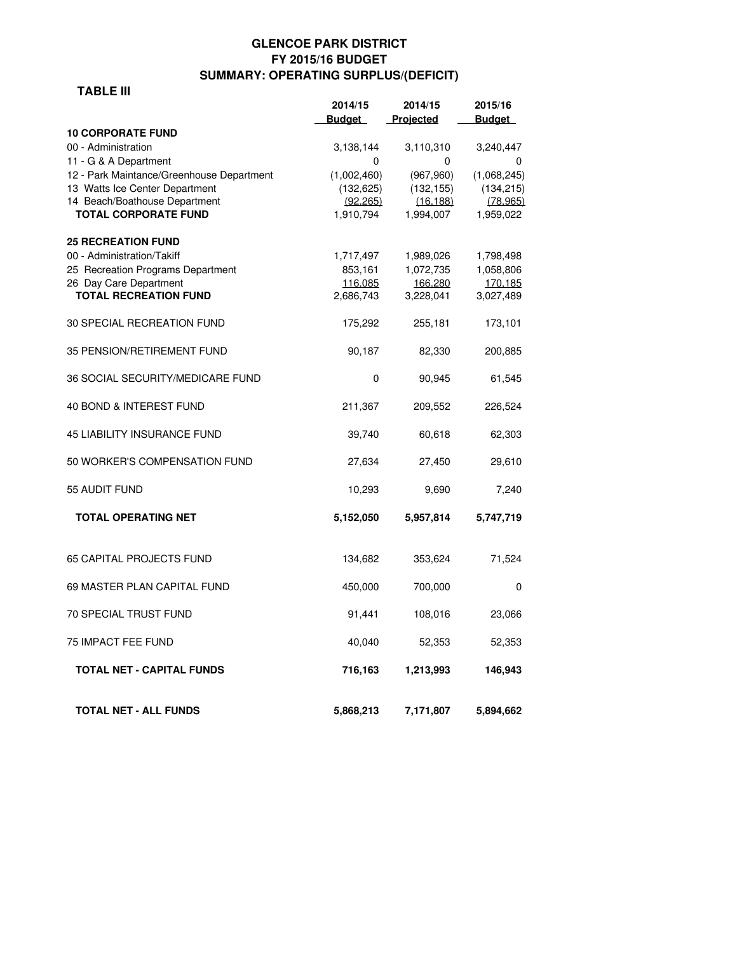# **GLENCOE PARK DISTRICT FY 2015/16 BUDGET SUMMARY: OPERATING SURPLUS/(DEFICIT)**

### **TABLE III**

|                                           | 2014/15       | 2014/15    | 2015/16       |
|-------------------------------------------|---------------|------------|---------------|
|                                           | <b>Budget</b> | Projected  | <b>Budget</b> |
| <b>10 CORPORATE FUND</b>                  |               |            |               |
| 00 - Administration                       | 3,138,144     | 3,110,310  | 3,240,447     |
| 11 - G & A Department                     | 0             | 0          | 0             |
| 12 - Park Maintance/Greenhouse Department | (1,002,460)   | (967,960)  | (1,068,245)   |
| 13 Watts Ice Center Department            | (132, 625)    | (132, 155) | (134, 215)    |
| 14 Beach/Boathouse Department             | (92.265)      | (16.188)   | (78.965)      |
| <b>TOTAL CORPORATE FUND</b>               | 1,910,794     | 1,994,007  | 1,959,022     |
| <b>25 RECREATION FUND</b>                 |               |            |               |
| 00 - Administration/Takiff                | 1,717,497     | 1,989,026  | 1,798,498     |
| 25 Recreation Programs Department         | 853,161       | 1,072,735  | 1,058,806     |
| 26 Day Care Department                    | 116.085       | 166.280    | 170.185       |
| <b>TOTAL RECREATION FUND</b>              | 2,686,743     | 3,228,041  | 3,027,489     |
| 30 SPECIAL RECREATION FUND                | 175,292       | 255,181    | 173,101       |
| 35 PENSION/RETIREMENT FUND                | 90,187        | 82,330     | 200,885       |
| 36 SOCIAL SECURITY/MEDICARE FUND          | 0             | 90,945     | 61,545        |
| 40 BOND & INTEREST FUND                   | 211,367       | 209,552    | 226,524       |
| <b>45 LIABILITY INSURANCE FUND</b>        | 39,740        | 60,618     | 62,303        |
| 50 WORKER'S COMPENSATION FUND             | 27,634        | 27,450     | 29,610        |
| 55 AUDIT FUND                             | 10,293        | 9,690      | 7,240         |
| <b>TOTAL OPERATING NET</b>                | 5,152,050     | 5,957,814  | 5,747,719     |
| <b>65 CAPITAL PROJECTS FUND</b>           | 134,682       | 353,624    | 71,524        |
| 69 MASTER PLAN CAPITAL FUND               | 450,000       | 700,000    | 0             |
|                                           |               |            |               |
| <b>70 SPECIAL TRUST FUND</b>              | 91,441        | 108,016    | 23,066        |
| <b>75 IMPACT FEE FUND</b>                 | 40,040        | 52,353     | 52,353        |
| <b>TOTAL NET - CAPITAL FUNDS</b>          | 716,163       | 1,213,993  | 146,943       |
| TOTAL NET - ALL FUNDS                     | 5,868,213     | 7,171,807  | 5,894,662     |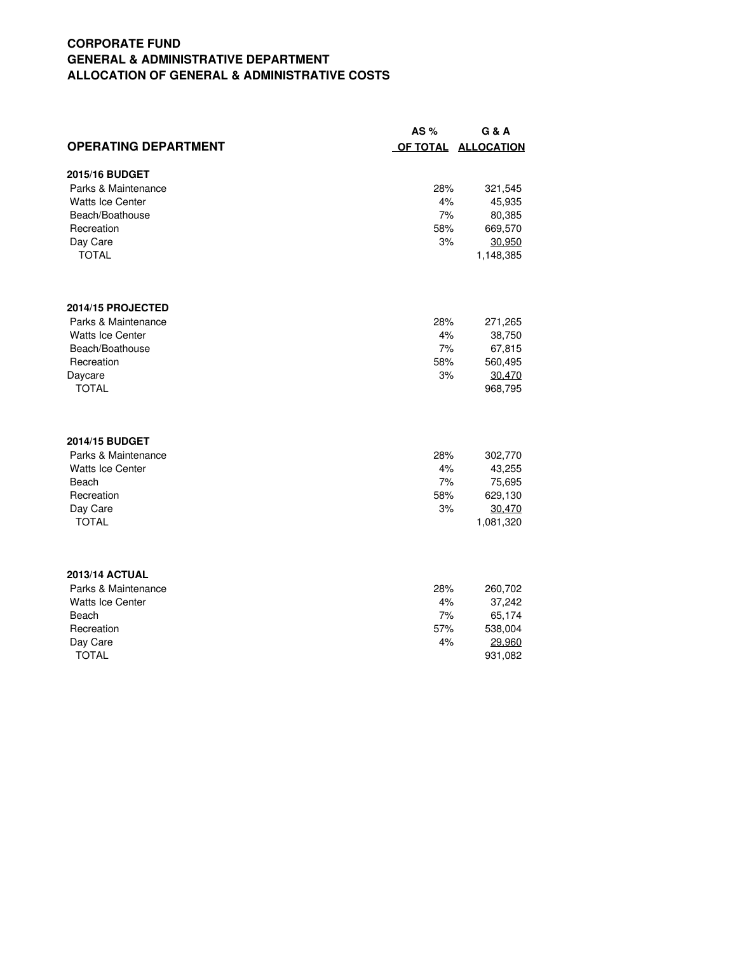# **CORPORATE FUND GENERAL & ADMINISTRATIVE DEPARTMENT ALLOCATION OF GENERAL & ADMINISTRATIVE COSTS**

|                             | AS $%$ | G & A               |
|-----------------------------|--------|---------------------|
| <b>OPERATING DEPARTMENT</b> |        | OF TOTAL ALLOCATION |
| 2015/16 BUDGET              |        |                     |
| Parks & Maintenance         | 28%    | 321,545             |
| <b>Watts Ice Center</b>     | 4%     | 45,935              |
| Beach/Boathouse             | 7%     | 80,385              |
| Recreation                  | 58%    | 669,570             |
| Day Care                    | 3%     | 30,950              |
| <b>TOTAL</b>                |        | 1,148,385           |
| 2014/15 PROJECTED           |        |                     |
| Parks & Maintenance         | 28%    | 271,265             |
| <b>Watts Ice Center</b>     | 4%     | 38,750              |
| Beach/Boathouse             | 7%     | 67,815              |
| Recreation                  | 58%    | 560,495             |
| Daycare                     | 3%     | 30,470              |
| <b>TOTAL</b>                |        | 968,795             |
| 2014/15 BUDGET              |        |                     |
| Parks & Maintenance         | 28%    | 302,770             |
| Watts Ice Center            | 4%     | 43,255              |
| Beach                       | 7%     | 75,695              |
| Recreation                  | 58%    | 629,130             |
| Day Care                    | 3%     | 30,470              |
| <b>TOTAL</b>                |        | 1,081,320           |
| <b>2013/14 ACTUAL</b>       |        |                     |
| Parks & Maintenance         | 28%    | 260,702             |
| Watts Ice Center            | 4%     | 37,242              |
| Beach                       | 7%     | 65,174              |
| Recreation                  | 57%    | 538,004             |
| Day Care                    | 4%     | 29,960              |
| <b>TOTAL</b>                |        | 931,082             |
|                             |        |                     |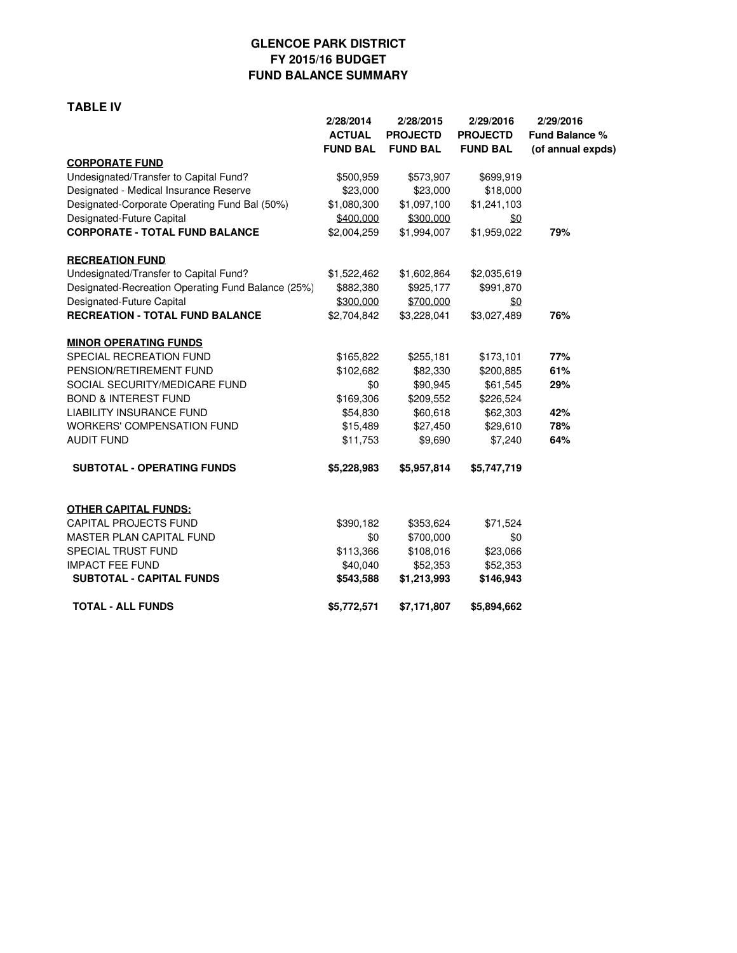# **GLENCOE PARK DISTRICT FY 2015/16 BUDGET FUND BALANCE SUMMARY**

#### **TABLE IV**

|                                                    | 2/28/2014<br><b>ACTUAL</b><br><b>FUND BAL</b> | 2/28/2015<br><b>PROJECTD</b><br><b>FUND BAL</b> | 2/29/2016<br><b>PROJECTD</b><br><b>FUND BAL</b> | 2/29/2016<br><b>Fund Balance %</b><br>(of annual expds) |
|----------------------------------------------------|-----------------------------------------------|-------------------------------------------------|-------------------------------------------------|---------------------------------------------------------|
| <b>CORPORATE FUND</b>                              |                                               |                                                 |                                                 |                                                         |
| Undesignated/Transfer to Capital Fund?             | \$500,959                                     | \$573,907                                       | \$699,919                                       |                                                         |
| Designated - Medical Insurance Reserve             | \$23,000                                      | \$23,000                                        | \$18,000                                        |                                                         |
| Designated-Corporate Operating Fund Bal (50%)      | \$1,080,300                                   | \$1,097,100                                     | \$1,241,103                                     |                                                         |
| Designated-Future Capital                          | \$400,000                                     | \$300,000                                       | \$0                                             |                                                         |
| <b>CORPORATE - TOTAL FUND BALANCE</b>              | \$2,004,259                                   | \$1,994,007                                     | \$1,959,022                                     | 79%                                                     |
| <b>RECREATION FUND</b>                             |                                               |                                                 |                                                 |                                                         |
| Undesignated/Transfer to Capital Fund?             | \$1,522,462                                   | \$1,602,864                                     | \$2,035,619                                     |                                                         |
| Designated-Recreation Operating Fund Balance (25%) | \$882,380                                     | \$925,177                                       | \$991,870                                       |                                                         |
| Designated-Future Capital                          | \$300,000                                     | \$700,000                                       | \$0                                             |                                                         |
| <b>RECREATION - TOTAL FUND BALANCE</b>             | \$2,704,842                                   | \$3,228,041                                     | \$3,027,489                                     | 76%                                                     |
| <b>MINOR OPERATING FUNDS</b>                       |                                               |                                                 |                                                 |                                                         |
| SPECIAL RECREATION FUND                            | \$165,822                                     | \$255,181                                       | \$173,101                                       | 77%                                                     |
| PENSION/RETIREMENT FUND                            | \$102,682                                     | \$82,330                                        | \$200,885                                       | 61%                                                     |
| SOCIAL SECURITY/MEDICARE FUND                      | \$0                                           | \$90,945                                        | \$61,545                                        | 29%                                                     |
| <b>BOND &amp; INTEREST FUND</b>                    | \$169,306                                     | \$209,552                                       | \$226,524                                       |                                                         |
| <b>LIABILITY INSURANCE FUND</b>                    | \$54,830                                      | \$60,618                                        | \$62,303                                        | 42%                                                     |
| <b>WORKERS' COMPENSATION FUND</b>                  | \$15,489                                      | \$27,450                                        | \$29,610                                        | 78%                                                     |
| <b>AUDIT FUND</b>                                  | \$11,753                                      | \$9,690                                         | \$7,240                                         | 64%                                                     |
| <b>SUBTOTAL - OPERATING FUNDS</b>                  | \$5,228,983                                   | \$5,957,814                                     | \$5,747,719                                     |                                                         |
| <b>OTHER CAPITAL FUNDS:</b>                        |                                               |                                                 |                                                 |                                                         |
| <b>CAPITAL PROJECTS FUND</b>                       | \$390,182                                     | \$353,624                                       | \$71,524                                        |                                                         |
| <b>MASTER PLAN CAPITAL FUND</b>                    | \$0                                           | \$700,000                                       | \$0                                             |                                                         |
| SPECIAL TRUST FUND                                 | \$113,366                                     | \$108,016                                       | \$23,066                                        |                                                         |
| <b>IMPACT FEE FUND</b>                             | \$40,040                                      | \$52,353                                        | \$52,353                                        |                                                         |
| <b>SUBTOTAL - CAPITAL FUNDS</b>                    | \$543,588                                     | \$1,213,993                                     | \$146,943                                       |                                                         |
| <b>TOTAL - ALL FUNDS</b>                           | \$5,772,571                                   | \$7,171,807                                     | \$5,894,662                                     |                                                         |